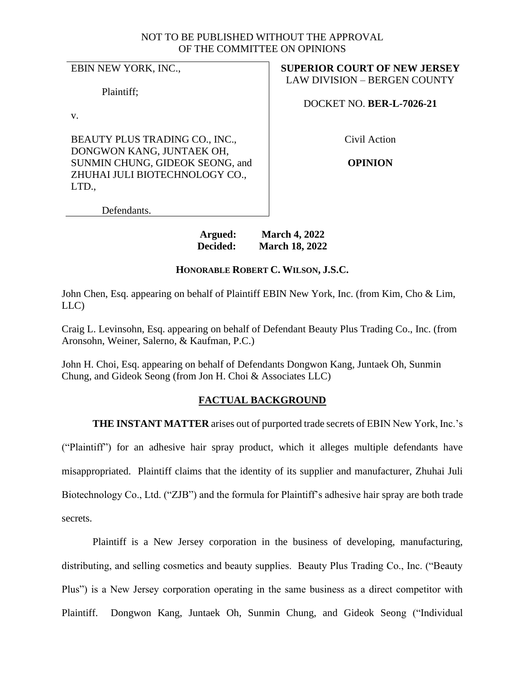## NOT TO BE PUBLISHED WITHOUT THE APPROVAL OF THE COMMITTEE ON OPINIONS

EBIN NEW YORK, INC.,

Plaintiff;

v.

BEAUTY PLUS TRADING CO., INC., DONGWON KANG, JUNTAEK OH, SUNMIN CHUNG, GIDEOK SEONG, and ZHUHAI JULI BIOTECHNOLOGY CO., LTD.,

**SUPERIOR COURT OF NEW JERSEY** LAW DIVISION – BERGEN COUNTY

DOCKET NO. **BER-L-7026-21**

Civil Action

**OPINION**

Defendants.

# **Argued: March 4, 2022 Decided: March 18, 2022**

# **HONORABLE ROBERT C. WILSON, J.S.C.**

John Chen, Esq. appearing on behalf of Plaintiff EBIN New York, Inc. (from Kim, Cho & Lim, LLC)

Craig L. Levinsohn, Esq. appearing on behalf of Defendant Beauty Plus Trading Co., Inc. (from Aronsohn, Weiner, Salerno, & Kaufman, P.C.)

John H. Choi, Esq. appearing on behalf of Defendants Dongwon Kang, Juntaek Oh, Sunmin Chung, and Gideok Seong (from Jon H. Choi & Associates LLC)

# **FACTUAL BACKGROUND**

**THE INSTANT MATTER** arises out of purported trade secrets of EBIN New York, Inc.'s

("Plaintiff") for an adhesive hair spray product, which it alleges multiple defendants have misappropriated. Plaintiff claims that the identity of its supplier and manufacturer, Zhuhai Juli Biotechnology Co., Ltd. ("ZJB") and the formula for Plaintiff's adhesive hair spray are both trade secrets.

Plaintiff is a New Jersey corporation in the business of developing, manufacturing, distributing, and selling cosmetics and beauty supplies. Beauty Plus Trading Co., Inc. ("Beauty Plus") is a New Jersey corporation operating in the same business as a direct competitor with Plaintiff. Dongwon Kang, Juntaek Oh, Sunmin Chung, and Gideok Seong ("Individual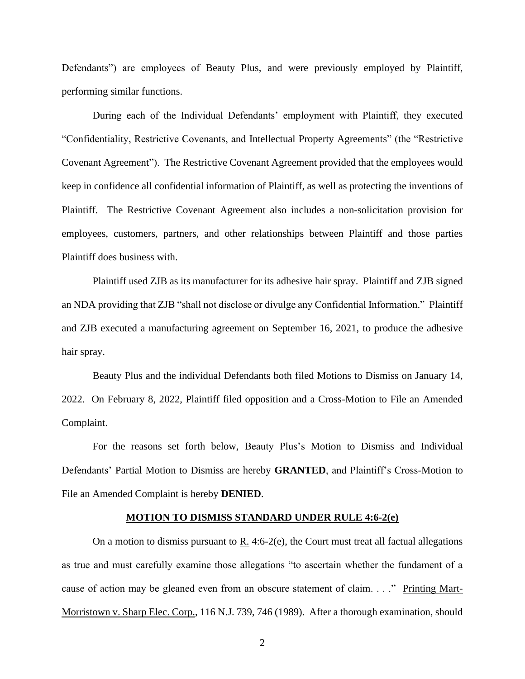Defendants") are employees of Beauty Plus, and were previously employed by Plaintiff, performing similar functions.

During each of the Individual Defendants' employment with Plaintiff, they executed "Confidentiality, Restrictive Covenants, and Intellectual Property Agreements" (the "Restrictive Covenant Agreement"). The Restrictive Covenant Agreement provided that the employees would keep in confidence all confidential information of Plaintiff, as well as protecting the inventions of Plaintiff. The Restrictive Covenant Agreement also includes a non-solicitation provision for employees, customers, partners, and other relationships between Plaintiff and those parties Plaintiff does business with.

Plaintiff used ZJB as its manufacturer for its adhesive hair spray. Plaintiff and ZJB signed an NDA providing that ZJB "shall not disclose or divulge any Confidential Information." Plaintiff and ZJB executed a manufacturing agreement on September 16, 2021, to produce the adhesive hair spray.

Beauty Plus and the individual Defendants both filed Motions to Dismiss on January 14, 2022. On February 8, 2022, Plaintiff filed opposition and a Cross-Motion to File an Amended Complaint.

For the reasons set forth below, Beauty Plus's Motion to Dismiss and Individual Defendants' Partial Motion to Dismiss are hereby **GRANTED**, and Plaintiff's Cross-Motion to File an Amended Complaint is hereby **DENIED**.

#### **MOTION TO DISMISS STANDARD UNDER RULE 4:6-2(e)**

On a motion to dismiss pursuant to  $R_1$ . 4:6-2(e), the Court must treat all factual allegations as true and must carefully examine those allegations "to ascertain whether the fundament of a cause of action may be gleaned even from an obscure statement of claim. . . ." Printing Mart-Morristown v. Sharp Elec. Corp., 116 N.J. 739, 746 (1989). After a thorough examination, should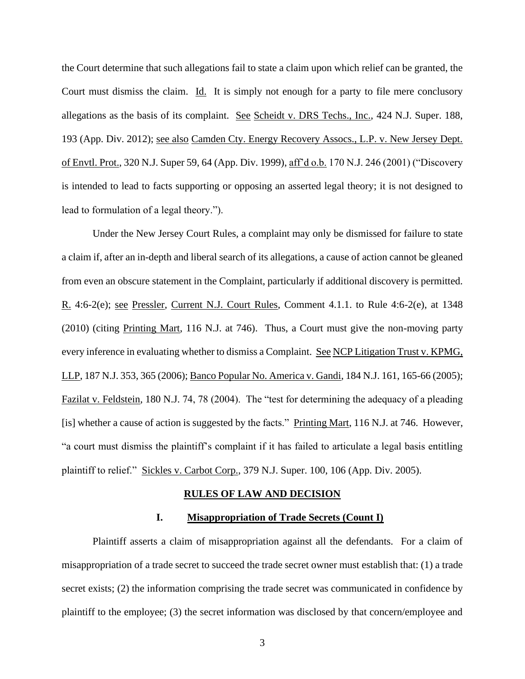the Court determine that such allegations fail to state a claim upon which relief can be granted, the Court must dismiss the claim. Id. It is simply not enough for a party to file mere conclusory allegations as the basis of its complaint. See Scheidt v. DRS Techs., Inc., 424 N.J. Super. 188, 193 (App. Div. 2012); see also Camden Cty. Energy Recovery Assocs., L.P. v. New Jersey Dept. of Envtl. Prot., 320 N.J. Super 59, 64 (App. Div. 1999), aff'd o.b. 170 N.J. 246 (2001) ("Discovery is intended to lead to facts supporting or opposing an asserted legal theory; it is not designed to lead to formulation of a legal theory.").

Under the New Jersey Court Rules, a complaint may only be dismissed for failure to state a claim if, after an in-depth and liberal search of its allegations, a cause of action cannot be gleaned from even an obscure statement in the Complaint, particularly if additional discovery is permitted. R. 4:6-2(e); see Pressler, Current N.J. Court Rules, Comment 4.1.1. to Rule 4:6-2(e), at 1348 (2010) (citing Printing Mart, 116 N.J. at 746). Thus, a Court must give the non-moving party every inference in evaluating whether to dismiss a Complaint. See NCP Litigation Trust v. KPMG, LLP, 187 N.J. 353, 365 (2006); Banco Popular No. America v. Gandi, 184 N.J. 161, 165-66 (2005); Fazilat v. Feldstein, 180 N.J. 74, 78 (2004). The "test for determining the adequacy of a pleading [is] whether a cause of action is suggested by the facts." Printing Mart, 116 N.J. at 746. However, "a court must dismiss the plaintiff's complaint if it has failed to articulate a legal basis entitling plaintiff to relief." Sickles v. Carbot Corp., 379 N.J. Super. 100, 106 (App. Div. 2005).

#### **RULES OF LAW AND DECISION**

### **I. Misappropriation of Trade Secrets (Count I)**

Plaintiff asserts a claim of misappropriation against all the defendants. For a claim of misappropriation of a trade secret to succeed the trade secret owner must establish that: (1) a trade secret exists; (2) the information comprising the trade secret was communicated in confidence by plaintiff to the employee; (3) the secret information was disclosed by that concern/employee and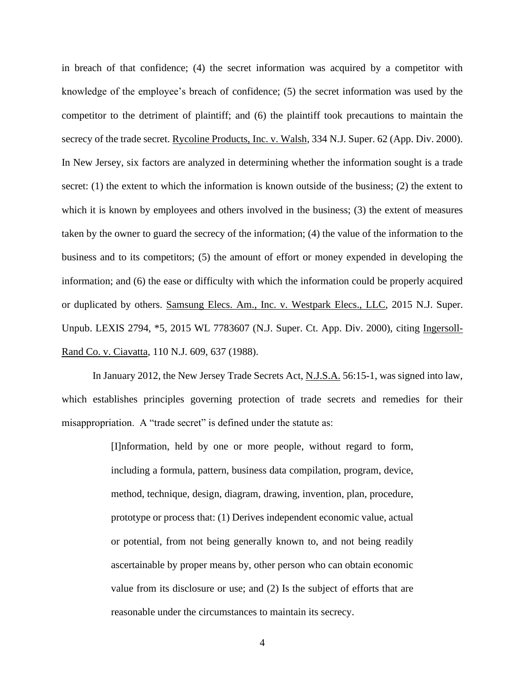in breach of that confidence; (4) the secret information was acquired by a competitor with knowledge of the employee's breach of confidence; (5) the secret information was used by the competitor to the detriment of plaintiff; and (6) the plaintiff took precautions to maintain the secrecy of the trade secret. Rycoline Products, Inc. v. Walsh, 334 N.J. Super. 62 (App. Div. 2000). In New Jersey, six factors are analyzed in determining whether the information sought is a trade secret: (1) the extent to which the information is known outside of the business; (2) the extent to which it is known by employees and others involved in the business; (3) the extent of measures taken by the owner to guard the secrecy of the information; (4) the value of the information to the business and to its competitors; (5) the amount of effort or money expended in developing the information; and (6) the ease or difficulty with which the information could be properly acquired or duplicated by others. Samsung Elecs. Am., Inc. v. Westpark Elecs., LLC, 2015 N.J. Super. Unpub. LEXIS 2794, \*5, 2015 WL 7783607 (N.J. Super. Ct. App. Div. 2000), citing Ingersoll-Rand Co. v. Ciavatta, 110 N.J. 609, 637 (1988).

In January 2012, the New Jersey Trade Secrets Act, N.J.S.A. 56:15-1, was signed into law, which establishes principles governing protection of trade secrets and remedies for their misappropriation. A "trade secret" is defined under the statute as:

> [I]nformation, held by one or more people, without regard to form, including a formula, pattern, business data compilation, program, device, method, technique, design, diagram, drawing, invention, plan, procedure, prototype or process that: (1) Derives independent economic value, actual or potential, from not being generally known to, and not being readily ascertainable by proper means by, other person who can obtain economic value from its disclosure or use; and (2) Is the subject of efforts that are reasonable under the circumstances to maintain its secrecy.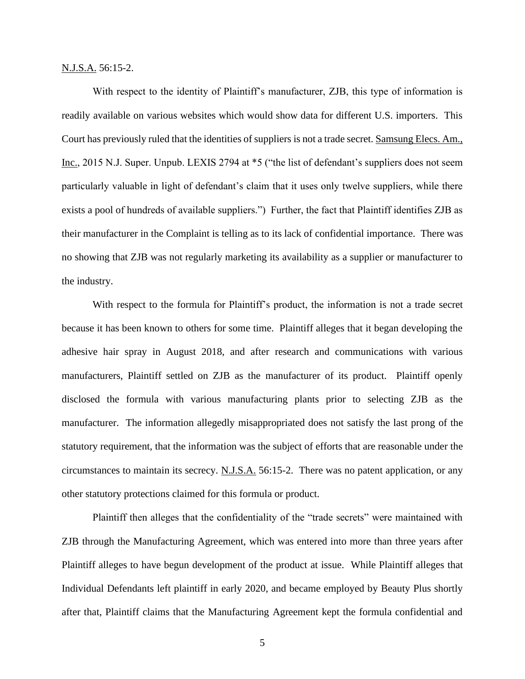N.J.S.A. 56:15-2.

With respect to the identity of Plaintiff's manufacturer, ZJB, this type of information is readily available on various websites which would show data for different U.S. importers. This Court has previously ruled that the identities of suppliers is not a trade secret. Samsung Elecs. Am., Inc., 2015 N.J. Super. Unpub. LEXIS 2794 at \*5 ("the list of defendant's suppliers does not seem particularly valuable in light of defendant's claim that it uses only twelve suppliers, while there exists a pool of hundreds of available suppliers.") Further, the fact that Plaintiff identifies ZJB as their manufacturer in the Complaint is telling as to its lack of confidential importance. There was no showing that ZJB was not regularly marketing its availability as a supplier or manufacturer to the industry.

With respect to the formula for Plaintiff's product, the information is not a trade secret because it has been known to others for some time. Plaintiff alleges that it began developing the adhesive hair spray in August 2018, and after research and communications with various manufacturers, Plaintiff settled on ZJB as the manufacturer of its product. Plaintiff openly disclosed the formula with various manufacturing plants prior to selecting ZJB as the manufacturer. The information allegedly misappropriated does not satisfy the last prong of the statutory requirement, that the information was the subject of efforts that are reasonable under the circumstances to maintain its secrecy. N.J.S.A. 56:15-2. There was no patent application, or any other statutory protections claimed for this formula or product.

Plaintiff then alleges that the confidentiality of the "trade secrets" were maintained with ZJB through the Manufacturing Agreement, which was entered into more than three years after Plaintiff alleges to have begun development of the product at issue. While Plaintiff alleges that Individual Defendants left plaintiff in early 2020, and became employed by Beauty Plus shortly after that, Plaintiff claims that the Manufacturing Agreement kept the formula confidential and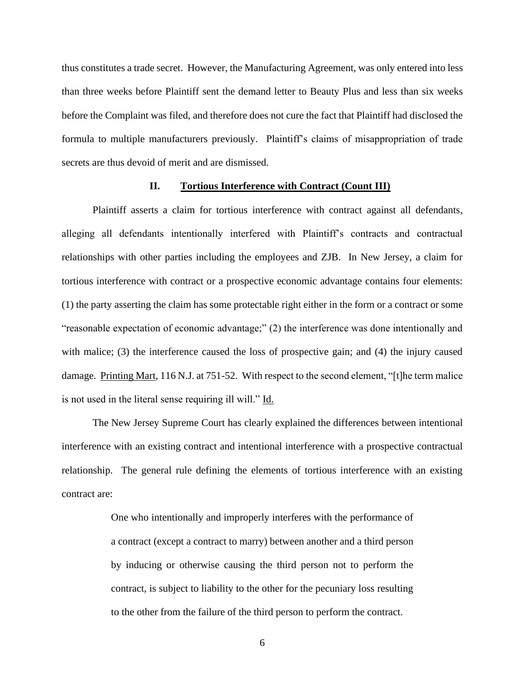thus constitutes a trade secret. However, the Manufacturing Agreement, was only entered into less than three weeks before Plaintiff sent the demand letter to Beauty Plus and less than six weeks before the Complaint was filed, and therefore does not cure the fact that Plaintiff had disclosed the formula to multiple manufacturers previously. Plaintiff's claims of misappropriation of trade secrets are thus devoid of merit and are dismissed.

### **II. Tortious Interference with Contract (Count III)**

Plaintiff asserts a claim for tortious interference with contract against all defendants, alleging all defendants intentionally interfered with Plaintiff's contracts and contractual relationships with other parties including the employees and ZJB. In New Jersey, a claim for tortious interference with contract or a prospective economic advantage contains four elements: (1) the party asserting the claim has some protectable right either in the form or a contract or some "reasonable expectation of economic advantage;" (2) the interference was done intentionally and with malice; (3) the interference caused the loss of prospective gain; and (4) the injury caused damage. Printing Mart, 116 N.J. at 751-52. With respect to the second element, "[t]he term malice is not used in the literal sense requiring ill will." Id.

The New Jersey Supreme Court has clearly explained the differences between intentional interference with an existing contract and intentional interference with a prospective contractual relationship. The general rule defining the elements of tortious interference with an existing contract are:

> One who intentionally and improperly interferes with the performance of a contract (except a contract to marry) between another and a third person by inducing or otherwise causing the third person not to perform the contract, is subject to liability to the other for the pecuniary loss resulting to the other from the failure of the third person to perform the contract.

> > 6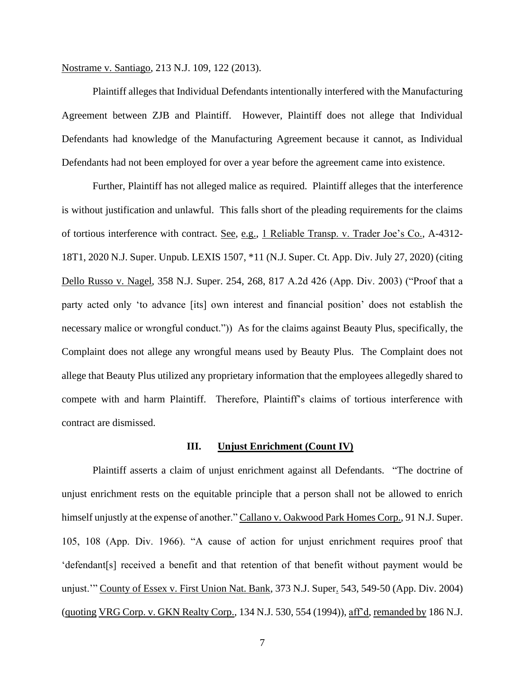Nostrame v. Santiago, 213 N.J. 109, 122 (2013).

Plaintiff alleges that Individual Defendants intentionally interfered with the Manufacturing Agreement between ZJB and Plaintiff. However, Plaintiff does not allege that Individual Defendants had knowledge of the Manufacturing Agreement because it cannot, as Individual Defendants had not been employed for over a year before the agreement came into existence.

Further, Plaintiff has not alleged malice as required. Plaintiff alleges that the interference is without justification and unlawful. This falls short of the pleading requirements for the claims of tortious interference with contract. See, e.g., 1 Reliable Transp. v. Trader Joe's Co., A-4312- 18T1, 2020 N.J. Super. Unpub. LEXIS 1507, \*11 (N.J. Super. Ct. App. Div. July 27, 2020) (citing Dello Russo v. Nagel, 358 N.J. Super. 254, 268, 817 A.2d 426 (App. Div. 2003) ("Proof that a party acted only 'to advance [its] own interest and financial position' does not establish the necessary malice or wrongful conduct.")) As for the claims against Beauty Plus, specifically, the Complaint does not allege any wrongful means used by Beauty Plus. The Complaint does not allege that Beauty Plus utilized any proprietary information that the employees allegedly shared to compete with and harm Plaintiff. Therefore, Plaintiff's claims of tortious interference with contract are dismissed.

#### **III. Unjust Enrichment (Count IV)**

Plaintiff asserts a claim of unjust enrichment against all Defendants. "The doctrine of unjust enrichment rests on the equitable principle that a person shall not be allowed to enrich himself unjustly at the expense of another." Callano v. Oakwood Park Homes Corp., 91 N.J. Super. 105, 108 (App. Div. 1966). "A cause of action for unjust enrichment requires proof that 'defendant[s] received a benefit and that retention of that benefit without payment would be unjust.'" County of Essex v. First Union Nat. Bank, 373 N.J. Super. 543, 549-50 (App. Div. 2004) (quoting VRG Corp. v. GKN Realty Corp., 134 N.J. 530, 554 (1994)), aff'd, remanded by 186 N.J.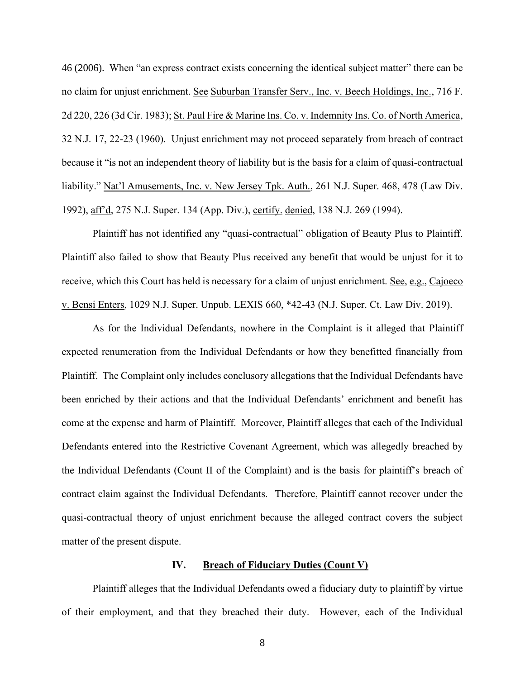46 (2006). When "an express contract exists concerning the identical subject matter" there can be no claim for unjust enrichment. See Suburban Transfer Serv., Inc. v. Beech Holdings, Inc., 716 F. 2d 220, 226 (3d Cir. 1983); St. Paul Fire & Marine Ins. Co. v. Indemnity Ins. Co. of North America, 32 N.J. 17, 22-23 (1960). Unjust enrichment may not proceed separately from breach of contract because it "is not an independent theory of liability but is the basis for a claim of quasi-contractual liability." Nat'l Amusements, Inc. v. New Jersey Tpk. Auth., 261 N.J. Super. 468, 478 (Law Div. 1992), aff'd, 275 N.J. Super. 134 (App. Div.), certify. denied, 138 N.J. 269 (1994).

Plaintiff has not identified any "quasi-contractual" obligation of Beauty Plus to Plaintiff. Plaintiff also failed to show that Beauty Plus received any benefit that would be unjust for it to receive, which this Court has held is necessary for a claim of unjust enrichment. See, e.g., Cajoeco v. Bensi Enters, 1029 N.J. Super. Unpub. LEXIS 660, \*42-43 (N.J. Super. Ct. Law Div. 2019).

As for the Individual Defendants, nowhere in the Complaint is it alleged that Plaintiff expected renumeration from the Individual Defendants or how they benefitted financially from Plaintiff. The Complaint only includes conclusory allegations that the Individual Defendants have been enriched by their actions and that the Individual Defendants' enrichment and benefit has come at the expense and harm of Plaintiff. Moreover, Plaintiff alleges that each of the Individual Defendants entered into the Restrictive Covenant Agreement, which was allegedly breached by the Individual Defendants (Count II of the Complaint) and is the basis for plaintiff's breach of contract claim against the Individual Defendants. Therefore, Plaintiff cannot recover under the quasi-contractual theory of unjust enrichment because the alleged contract covers the subject matter of the present dispute.

## **IV. Breach of Fiduciary Duties (Count V)**

Plaintiff alleges that the Individual Defendants owed a fiduciary duty to plaintiff by virtue of their employment, and that they breached their duty. However, each of the Individual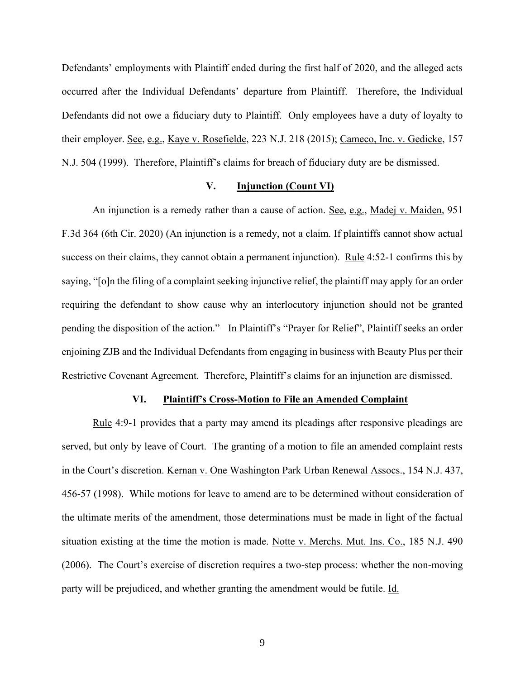Defendants' employments with Plaintiff ended during the first half of 2020, and the alleged acts occurred after the Individual Defendants' departure from Plaintiff. Therefore, the Individual Defendants did not owe a fiduciary duty to Plaintiff. Only employees have a duty of loyalty to their employer. See, e.g., Kaye v. Rosefielde, 223 N.J. 218 (2015); Cameco, Inc. v. Gedicke, 157 N.J. 504 (1999). Therefore, Plaintiff's claims for breach of fiduciary duty are be dismissed.

## **V. Injunction (Count VI)**

An injunction is a remedy rather than a cause of action. See, e.g., Madej v. Maiden, 951 F.3d 364 (6th Cir. 2020) (An injunction is a remedy, not a claim. If plaintiffs cannot show actual success on their claims, they cannot obtain a permanent injunction). Rule 4:52-1 confirms this by saying, "[o]n the filing of a complaint seeking injunctive relief, the plaintiff may apply for an order requiring the defendant to show cause why an interlocutory injunction should not be granted pending the disposition of the action." In Plaintiff's "Prayer for Relief", Plaintiff seeks an order enjoining ZJB and the Individual Defendants from engaging in business with Beauty Plus per their Restrictive Covenant Agreement. Therefore, Plaintiff's claims for an injunction are dismissed.

### **VI. Plaintiff's Cross-Motion to File an Amended Complaint**

Rule 4:9-1 provides that a party may amend its pleadings after responsive pleadings are served, but only by leave of Court. The granting of a motion to file an amended complaint rests in the Court's discretion. Kernan v. One Washington Park Urban Renewal Assocs., 154 N.J. 437, 456-57 (1998). While motions for leave to amend are to be determined without consideration of the ultimate merits of the amendment, those determinations must be made in light of the factual situation existing at the time the motion is made. Notte v. Merchs. Mut. Ins. Co., 185 N.J. 490 (2006). The Court's exercise of discretion requires a two-step process: whether the non-moving party will be prejudiced, and whether granting the amendment would be futile. Id.